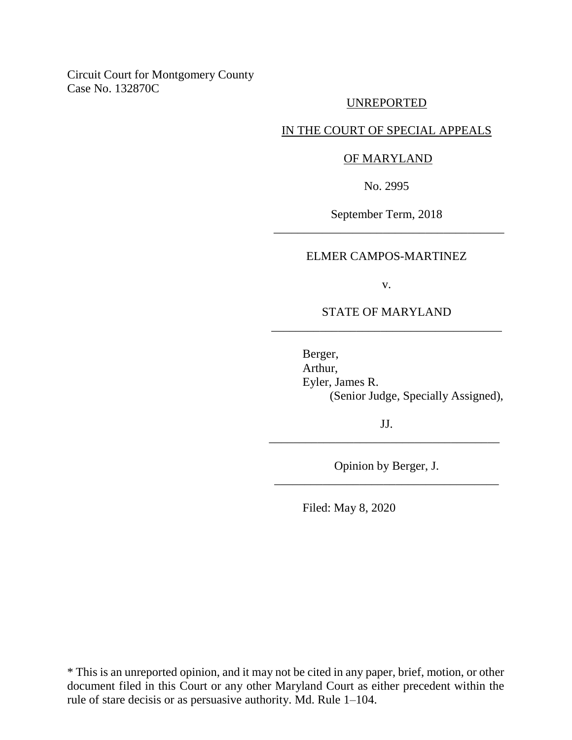Circuit Court for Montgomery County Case No. 132870C

### UNREPORTED

## IN THE COURT OF SPECIAL APPEALS

#### OF MARYLAND

No. 2995

September Term, 2018 \_\_\_\_\_\_\_\_\_\_\_\_\_\_\_\_\_\_\_\_\_\_\_\_\_\_\_\_\_\_\_\_\_\_\_\_\_\_

#### ELMER CAMPOS-MARTINEZ

v.

## STATE OF MARYLAND \_\_\_\_\_\_\_\_\_\_\_\_\_\_\_\_\_\_\_\_\_\_\_\_\_\_\_\_\_\_\_\_\_\_\_\_\_\_

Berger, Arthur, Eyler, James R. (Senior Judge, Specially Assigned),

JJ. \_\_\_\_\_\_\_\_\_\_\_\_\_\_\_\_\_\_\_\_\_\_\_\_\_\_\_\_\_\_\_\_\_\_\_\_\_\_

Opinion by Berger, J. \_\_\_\_\_\_\_\_\_\_\_\_\_\_\_\_\_\_\_\_\_\_\_\_\_\_\_\_\_\_\_\_\_\_\_\_\_

Filed: May 8, 2020

\* This is an unreported opinion, and it may not be cited in any paper, brief, motion, or other document filed in this Court or any other Maryland Court as either precedent within the rule of stare decisis or as persuasive authority. Md. Rule 1–104.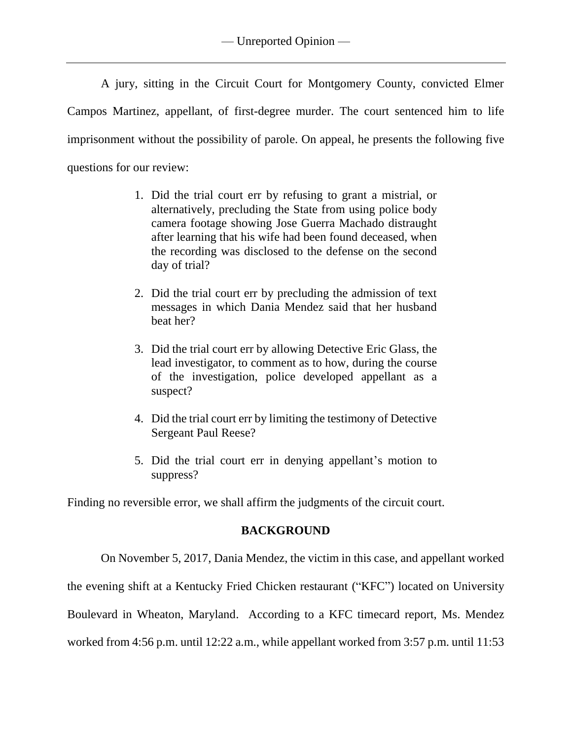A jury, sitting in the Circuit Court for Montgomery County, convicted Elmer Campos Martinez, appellant, of first-degree murder. The court sentenced him to life imprisonment without the possibility of parole. On appeal, he presents the following five questions for our review:

- 1. Did the trial court err by refusing to grant a mistrial, or alternatively, precluding the State from using police body camera footage showing Jose Guerra Machado distraught after learning that his wife had been found deceased, when the recording was disclosed to the defense on the second day of trial?
- 2. Did the trial court err by precluding the admission of text messages in which Dania Mendez said that her husband beat her?
- 3. Did the trial court err by allowing Detective Eric Glass, the lead investigator, to comment as to how, during the course of the investigation, police developed appellant as a suspect?
- 4. Did the trial court err by limiting the testimony of Detective Sergeant Paul Reese?
- 5. Did the trial court err in denying appellant's motion to suppress?

Finding no reversible error, we shall affirm the judgments of the circuit court.

# **BACKGROUND**

On November 5, 2017, Dania Mendez, the victim in this case, and appellant worked

the evening shift at a Kentucky Fried Chicken restaurant ("KFC") located on University

Boulevard in Wheaton, Maryland. According to a KFC timecard report, Ms. Mendez

worked from 4:56 p.m. until 12:22 a.m., while appellant worked from 3:57 p.m. until 11:53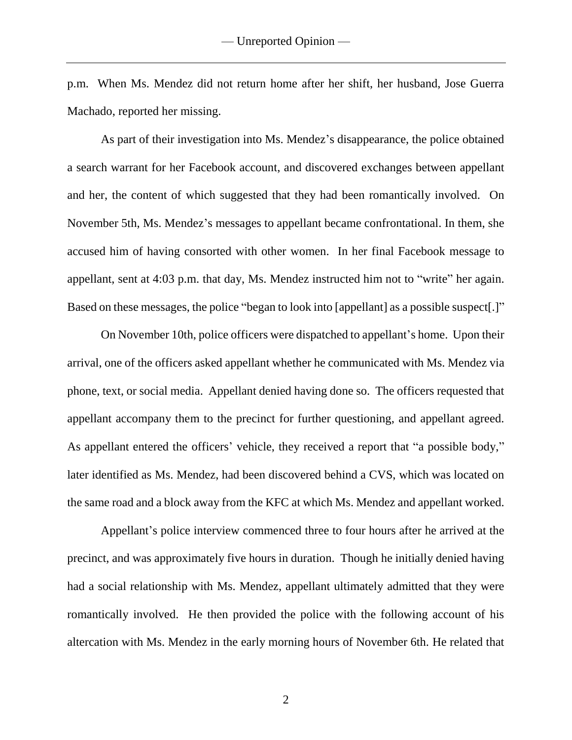p.m. When Ms. Mendez did not return home after her shift, her husband, Jose Guerra Machado, reported her missing.

As part of their investigation into Ms. Mendez's disappearance, the police obtained a search warrant for her Facebook account, and discovered exchanges between appellant and her, the content of which suggested that they had been romantically involved. On November 5th, Ms. Mendez's messages to appellant became confrontational. In them, she accused him of having consorted with other women. In her final Facebook message to appellant, sent at 4:03 p.m. that day, Ms. Mendez instructed him not to "write" her again. Based on these messages, the police "began to look into [appellant] as a possible suspect[.]"

On November 10th, police officers were dispatched to appellant's home. Upon their arrival, one of the officers asked appellant whether he communicated with Ms. Mendez via phone, text, or social media. Appellant denied having done so. The officers requested that appellant accompany them to the precinct for further questioning, and appellant agreed. As appellant entered the officers' vehicle, they received a report that "a possible body," later identified as Ms. Mendez, had been discovered behind a CVS, which was located on the same road and a block away from the KFC at which Ms. Mendez and appellant worked.

Appellant's police interview commenced three to four hours after he arrived at the precinct, and was approximately five hours in duration. Though he initially denied having had a social relationship with Ms. Mendez, appellant ultimately admitted that they were romantically involved. He then provided the police with the following account of his altercation with Ms. Mendez in the early morning hours of November 6th. He related that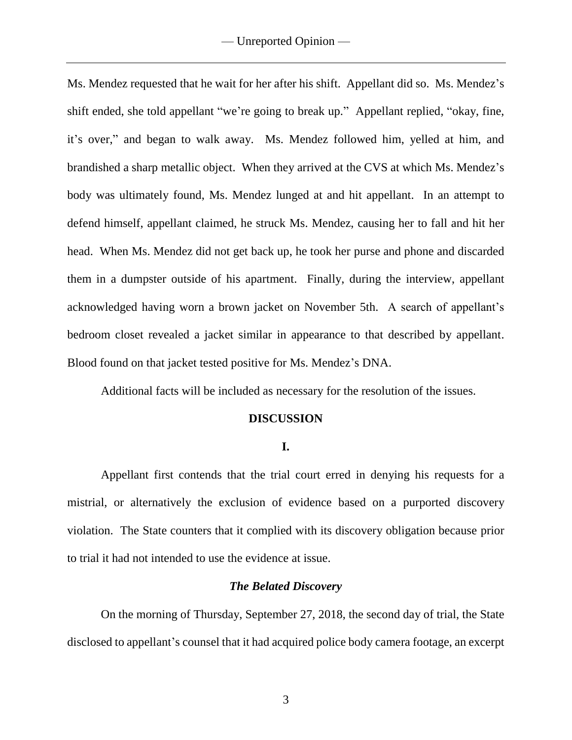Ms. Mendez requested that he wait for her after his shift. Appellant did so. Ms. Mendez's shift ended, she told appellant "we're going to break up." Appellant replied, "okay, fine, it's over," and began to walk away. Ms. Mendez followed him, yelled at him, and brandished a sharp metallic object. When they arrived at the CVS at which Ms. Mendez's body was ultimately found, Ms. Mendez lunged at and hit appellant. In an attempt to defend himself, appellant claimed, he struck Ms. Mendez, causing her to fall and hit her head. When Ms. Mendez did not get back up, he took her purse and phone and discarded them in a dumpster outside of his apartment. Finally, during the interview, appellant acknowledged having worn a brown jacket on November 5th. A search of appellant's bedroom closet revealed a jacket similar in appearance to that described by appellant. Blood found on that jacket tested positive for Ms. Mendez's DNA.

Additional facts will be included as necessary for the resolution of the issues.

## **DISCUSSION**

## **I.**

Appellant first contends that the trial court erred in denying his requests for a mistrial, or alternatively the exclusion of evidence based on a purported discovery violation. The State counters that it complied with its discovery obligation because prior to trial it had not intended to use the evidence at issue.

## *The Belated Discovery*

On the morning of Thursday, September 27, 2018, the second day of trial, the State disclosed to appellant's counsel that it had acquired police body camera footage, an excerpt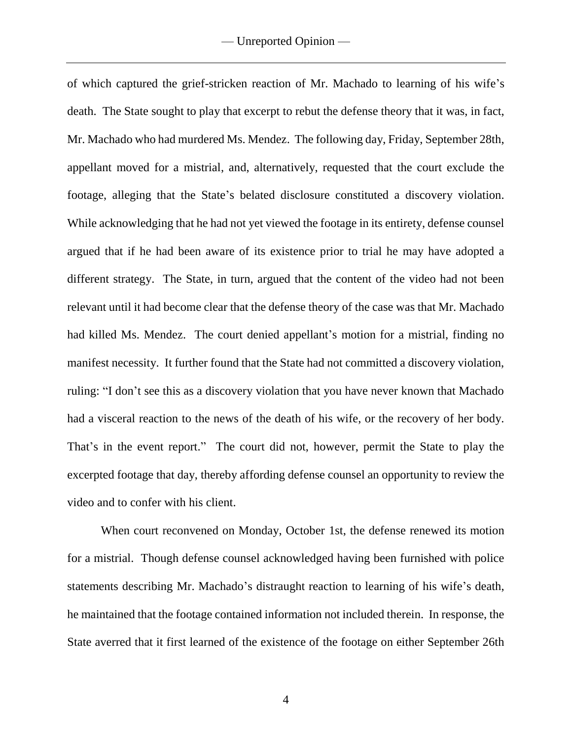of which captured the grief-stricken reaction of Mr. Machado to learning of his wife's death. The State sought to play that excerpt to rebut the defense theory that it was, in fact, Mr. Machado who had murdered Ms. Mendez. The following day, Friday, September 28th, appellant moved for a mistrial, and, alternatively, requested that the court exclude the footage, alleging that the State's belated disclosure constituted a discovery violation. While acknowledging that he had not yet viewed the footage in its entirety, defense counsel argued that if he had been aware of its existence prior to trial he may have adopted a different strategy. The State, in turn, argued that the content of the video had not been relevant until it had become clear that the defense theory of the case was that Mr. Machado had killed Ms. Mendez. The court denied appellant's motion for a mistrial, finding no manifest necessity. It further found that the State had not committed a discovery violation, ruling: "I don't see this as a discovery violation that you have never known that Machado had a visceral reaction to the news of the death of his wife, or the recovery of her body. That's in the event report." The court did not, however, permit the State to play the excerpted footage that day, thereby affording defense counsel an opportunity to review the video and to confer with his client.

When court reconvened on Monday, October 1st, the defense renewed its motion for a mistrial. Though defense counsel acknowledged having been furnished with police statements describing Mr. Machado's distraught reaction to learning of his wife's death, he maintained that the footage contained information not included therein. In response, the State averred that it first learned of the existence of the footage on either September 26th

4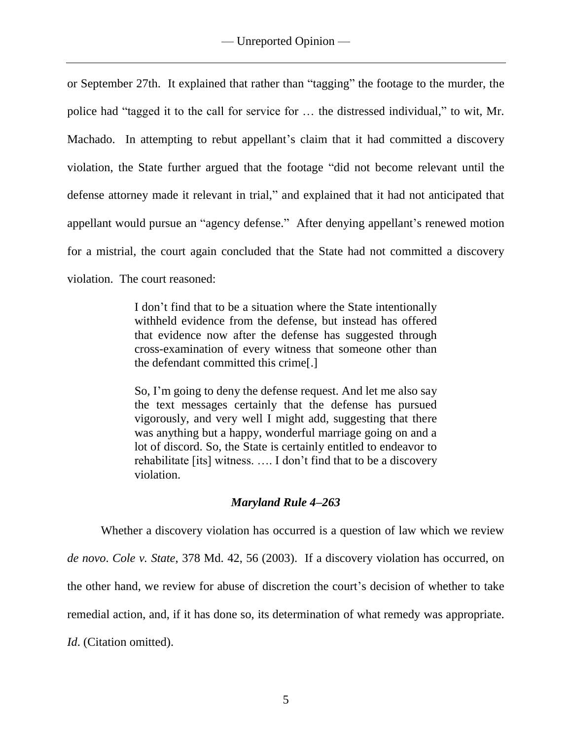or September 27th. It explained that rather than "tagging" the footage to the murder, the police had "tagged it to the call for service for … the distressed individual," to wit, Mr. Machado. In attempting to rebut appellant's claim that it had committed a discovery violation, the State further argued that the footage "did not become relevant until the defense attorney made it relevant in trial," and explained that it had not anticipated that appellant would pursue an "agency defense." After denying appellant's renewed motion for a mistrial, the court again concluded that the State had not committed a discovery violation. The court reasoned:

> I don't find that to be a situation where the State intentionally withheld evidence from the defense, but instead has offered that evidence now after the defense has suggested through cross-examination of every witness that someone other than the defendant committed this crime[.]

> So, I'm going to deny the defense request. And let me also say the text messages certainly that the defense has pursued vigorously, and very well I might add, suggesting that there was anything but a happy, wonderful marriage going on and a lot of discord. So, the State is certainly entitled to endeavor to rehabilitate [its] witness. …. I don't find that to be a discovery violation.

# *Maryland Rule 4–263*

Whether a discovery violation has occurred is a question of law which we review *de novo*. *Cole v. State*, 378 Md. 42, 56 (2003). If a discovery violation has occurred, on the other hand, we review for abuse of discretion the court's decision of whether to take remedial action, and, if it has done so, its determination of what remedy was appropriate. *Id*. (Citation omitted).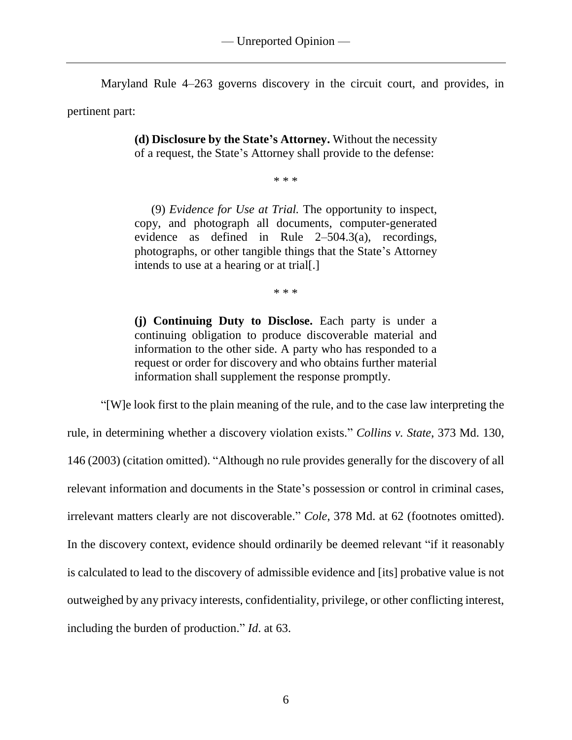Maryland Rule 4–263 governs discovery in the circuit court, and provides, in

pertinent part:

**(d) Disclosure by the State's Attorney.** Without the necessity of a request, the State's Attorney shall provide to the defense:

\* \* \*

(9) *Evidence for Use at Trial.* The opportunity to inspect, copy, and photograph all documents, computer-generated evidence as defined in [Rule 2–](https://1.next.westlaw.com/Link/Document/FullText?findType=L&pubNum=1000598&cite=USFRCRPR2&originatingDoc=NC0251E609CEA11DB9BCF9DAC28345A2A&refType=LQ&originationContext=document&transitionType=DocumentItem&contextData=(sc.UserEnteredCitation))504.3(a), recordings, photographs, or other tangible things that the State's Attorney intends to use at a hearing or at trial[.]

\* \* \*

**(j) Continuing Duty to Disclose.** Each party is under a continuing obligation to produce discoverable material and information to the other side. A party who has responded to a request or order for discovery and who obtains further material information shall supplement the response promptly.

"[W]e look first to the plain meaning of the rule, and to the case law interpreting the rule, in determining whether a discovery violation exists." *Collins v. State*, 373 Md. 130, 146 (2003) (citation omitted). "Although no rule provides generally for the discovery of all relevant information and documents in the State's possession or control in criminal cases, irrelevant matters clearly are not discoverable." *Cole*, 378 Md. at 62 (footnotes omitted). In the discovery context, evidence should ordinarily be deemed relevant "if it reasonably is calculated to lead to the discovery of admissible evidence and [its] probative value is not outweighed by any privacy interests, confidentiality, privilege, or other conflicting interest, including the burden of production." *Id*. at 63.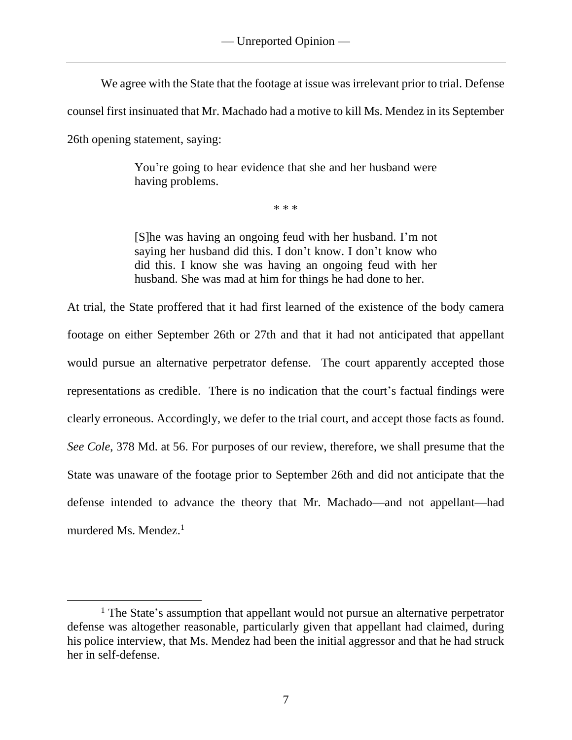We agree with the State that the footage at issue was irrelevant prior to trial. Defense

counsel first insinuated that Mr. Machado had a motive to kill Ms. Mendez in its September

26th opening statement, saying:

 $\overline{a}$ 

You're going to hear evidence that she and her husband were having problems.

\* \* \*

[S]he was having an ongoing feud with her husband. I'm not saying her husband did this. I don't know. I don't know who did this. I know she was having an ongoing feud with her husband. She was mad at him for things he had done to her.

At trial, the State proffered that it had first learned of the existence of the body camera footage on either September 26th or 27th and that it had not anticipated that appellant would pursue an alternative perpetrator defense. The court apparently accepted those representations as credible. There is no indication that the court's factual findings were clearly erroneous. Accordingly, we defer to the trial court, and accept those facts as found. *See Cole*, 378 Md. at 56. For purposes of our review, therefore, we shall presume that the State was unaware of the footage prior to September 26th and did not anticipate that the defense intended to advance the theory that Mr. Machado—and not appellant—had murdered Ms. Mendez.<sup>1</sup>

 $<sup>1</sup>$  The State's assumption that appellant would not pursue an alternative perpetrator</sup> defense was altogether reasonable, particularly given that appellant had claimed, during his police interview, that Ms. Mendez had been the initial aggressor and that he had struck her in self-defense.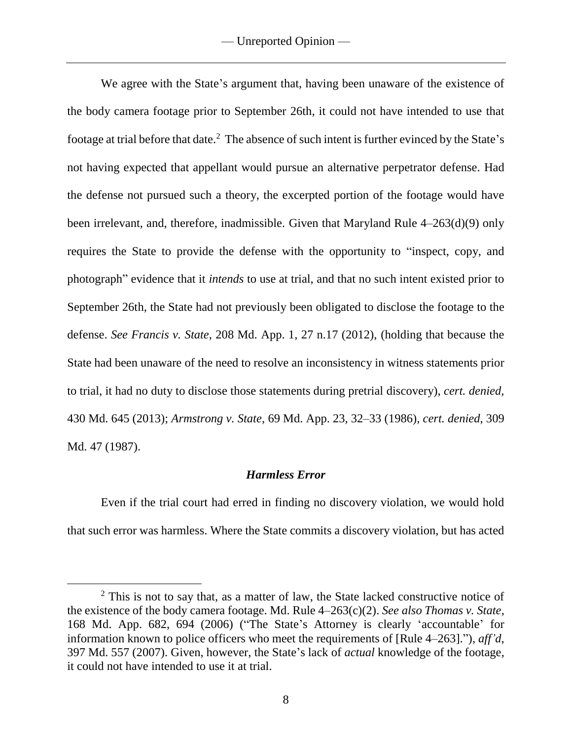We agree with the State's argument that, having been unaware of the existence of the body camera footage prior to September 26th, it could not have intended to use that footage at trial before that date.<sup>2</sup> The absence of such intent is further evinced by the State's not having expected that appellant would pursue an alternative perpetrator defense. Had the defense not pursued such a theory, the excerpted portion of the footage would have been irrelevant, and, therefore, inadmissible. Given that Maryland Rule 4–263(d)(9) only requires the State to provide the defense with the opportunity to "inspect, copy, and photograph" evidence that it *intends* to use at trial, and that no such intent existed prior to September 26th, the State had not previously been obligated to disclose the footage to the defense. *See Francis v. State*, 208 Md. App. 1, 27 n.17 (2012), (holding that because the State had been unaware of the need to resolve an inconsistency in witness statements prior to trial, it had no duty to disclose those statements during pretrial discovery), *cert. denied*, 430 Md. 645 (2013); *Armstrong v. State*, 69 Md. App. 23, 32–33 (1986), *cert. denied*, 309 Md. 47 (1987).

## *Harmless Error*

Even if the trial court had erred in finding no discovery violation, we would hold that such error was harmless. Where the State commits a discovery violation, but has acted

 $\overline{a}$ 

<sup>&</sup>lt;sup>2</sup> This is not to say that, as a matter of law, the State lacked constructive notice of the existence of the body camera footage. Md. Rule 4–263(c)(2). *See also Thomas v. State*, 168 Md. App. 682, 694 (2006) ("The State's Attorney is clearly 'accountable' for information known to police officers who meet the requirements of [Rule 4–263]."), *aff'd*, 397 Md. 557 (2007). Given, however, the State's lack of *actual* knowledge of the footage, it could not have intended to use it at trial.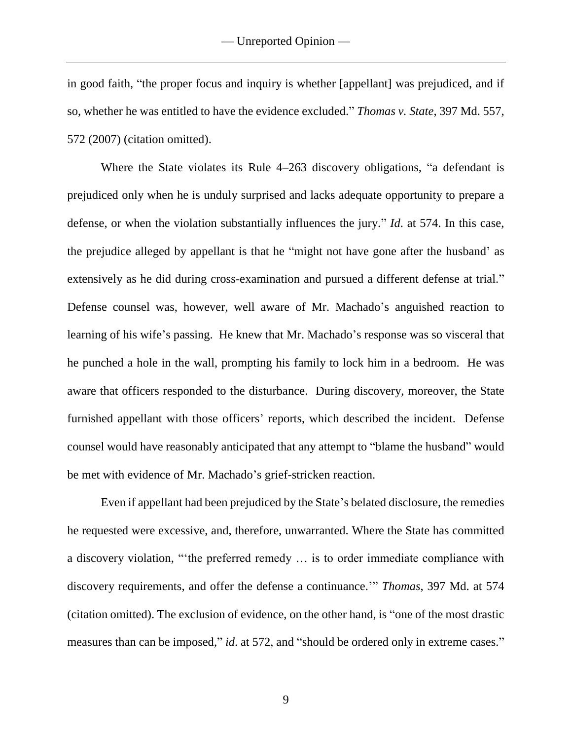in good faith, "the proper focus and inquiry is whether [appellant] was prejudiced, and if so, whether he was entitled to have the evidence excluded." *Thomas v. State*, 397 Md. 557, 572 (2007) (citation omitted).

Where the State violates its Rule 4–263 discovery obligations, "a defendant is prejudiced only when he is unduly surprised and lacks adequate opportunity to prepare a defense, or when the violation substantially influences the jury." *Id*. at 574. In this case, the prejudice alleged by appellant is that he "might not have gone after the husband' as extensively as he did during cross-examination and pursued a different defense at trial." Defense counsel was, however, well aware of Mr. Machado's anguished reaction to learning of his wife's passing. He knew that Mr. Machado's response was so visceral that he punched a hole in the wall, prompting his family to lock him in a bedroom. He was aware that officers responded to the disturbance. During discovery, moreover, the State furnished appellant with those officers' reports, which described the incident. Defense counsel would have reasonably anticipated that any attempt to "blame the husband" would be met with evidence of Mr. Machado's grief-stricken reaction.

Even if appellant had been prejudiced by the State's belated disclosure, the remedies he requested were excessive, and, therefore, unwarranted. Where the State has committed a discovery violation, "'the preferred remedy … is to order immediate compliance with discovery requirements, and offer the defense a continuance.'" *Thomas*, 397 Md. at 574 (citation omitted). The exclusion of evidence, on the other hand, is "one of the most drastic measures than can be imposed," *id.* at 572, and "should be ordered only in extreme cases."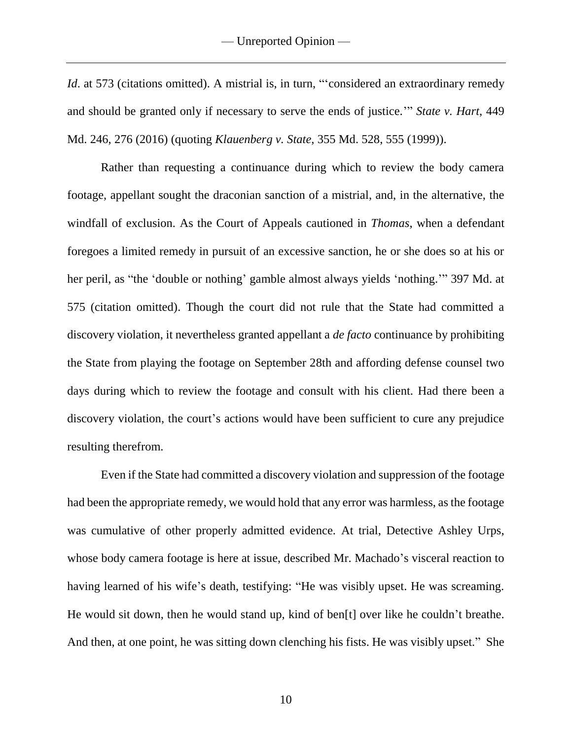*Id.* at 573 (citations omitted). A mistrial is, in turn, "considered an extraordinary remedy and should be granted only if necessary to serve the ends of justice.'" *State v. Hart*, 449 Md. 246, 276 (2016) (quoting *Klauenberg v. State*, 355 Md. 528, 555 (1999)).

Rather than requesting a continuance during which to review the body camera footage, appellant sought the draconian sanction of a mistrial, and, in the alternative, the windfall of exclusion. As the Court of Appeals cautioned in *Thomas*, when a defendant foregoes a limited remedy in pursuit of an excessive sanction, he or she does so at his or her peril, as "the 'double or nothing' gamble almost always yields 'nothing.'" 397 Md. at 575 (citation omitted). Though the court did not rule that the State had committed a discovery violation, it nevertheless granted appellant a *de facto* continuance by prohibiting the State from playing the footage on September 28th and affording defense counsel two days during which to review the footage and consult with his client. Had there been a discovery violation, the court's actions would have been sufficient to cure any prejudice resulting therefrom.

Even if the State had committed a discovery violation and suppression of the footage had been the appropriate remedy, we would hold that any error was harmless, as the footage was cumulative of other properly admitted evidence. At trial, Detective Ashley Urps, whose body camera footage is here at issue, described Mr. Machado's visceral reaction to having learned of his wife's death, testifying: "He was visibly upset. He was screaming. He would sit down, then he would stand up, kind of ben[t] over like he couldn't breathe. And then, at one point, he was sitting down clenching his fists. He was visibly upset." She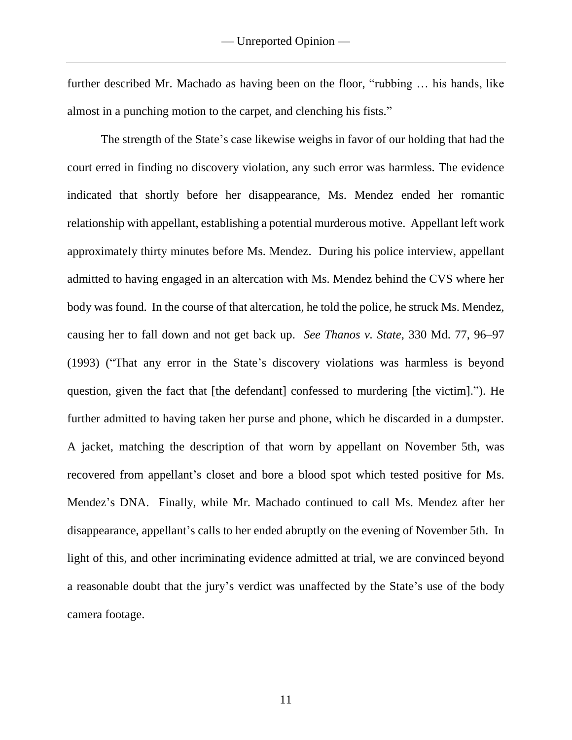further described Mr. Machado as having been on the floor, "rubbing … his hands, like almost in a punching motion to the carpet, and clenching his fists."

The strength of the State's case likewise weighs in favor of our holding that had the court erred in finding no discovery violation, any such error was harmless. The evidence indicated that shortly before her disappearance, Ms. Mendez ended her romantic relationship with appellant, establishing a potential murderous motive. Appellant left work approximately thirty minutes before Ms. Mendez. During his police interview, appellant admitted to having engaged in an altercation with Ms. Mendez behind the CVS where her body was found. In the course of that altercation, he told the police, he struck Ms. Mendez, causing her to fall down and not get back up. *See Thanos v. State*, 330 Md. 77, 96–97 (1993) ("That any error in the State's discovery violations was harmless is beyond question, given the fact that [the defendant] confessed to murdering [the victim]."). He further admitted to having taken her purse and phone, which he discarded in a dumpster. A jacket, matching the description of that worn by appellant on November 5th, was recovered from appellant's closet and bore a blood spot which tested positive for Ms. Mendez's DNA. Finally, while Mr. Machado continued to call Ms. Mendez after her disappearance, appellant's calls to her ended abruptly on the evening of November 5th. In light of this, and other incriminating evidence admitted at trial, we are convinced beyond a reasonable doubt that the jury's verdict was unaffected by the State's use of the body camera footage.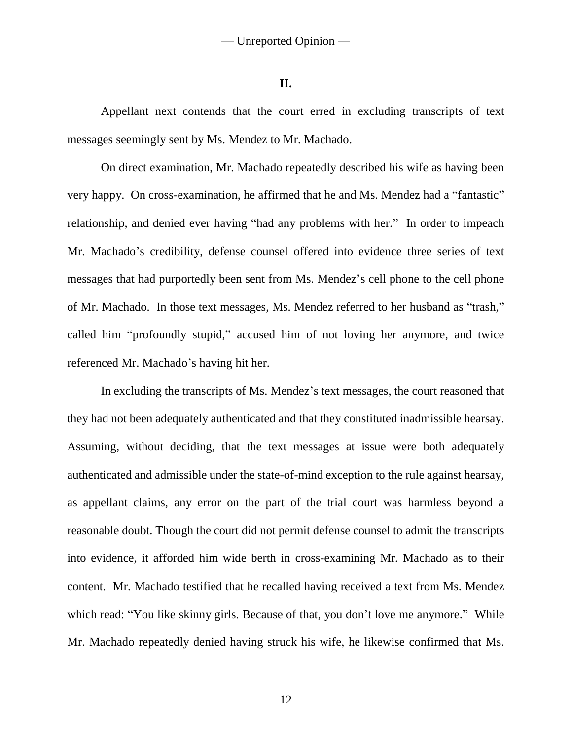#### **II.**

Appellant next contends that the court erred in excluding transcripts of text messages seemingly sent by Ms. Mendez to Mr. Machado.

On direct examination, Mr. Machado repeatedly described his wife as having been very happy. On cross-examination, he affirmed that he and Ms. Mendez had a "fantastic" relationship, and denied ever having "had any problems with her." In order to impeach Mr. Machado's credibility, defense counsel offered into evidence three series of text messages that had purportedly been sent from Ms. Mendez's cell phone to the cell phone of Mr. Machado. In those text messages, Ms. Mendez referred to her husband as "trash," called him "profoundly stupid," accused him of not loving her anymore, and twice referenced Mr. Machado's having hit her.

In excluding the transcripts of Ms. Mendez's text messages, the court reasoned that they had not been adequately authenticated and that they constituted inadmissible hearsay. Assuming, without deciding, that the text messages at issue were both adequately authenticated and admissible under the state-of-mind exception to the rule against hearsay, as appellant claims, any error on the part of the trial court was harmless beyond a reasonable doubt. Though the court did not permit defense counsel to admit the transcripts into evidence, it afforded him wide berth in cross-examining Mr. Machado as to their content. Mr. Machado testified that he recalled having received a text from Ms. Mendez which read: "You like skinny girls. Because of that, you don't love me anymore." While Mr. Machado repeatedly denied having struck his wife, he likewise confirmed that Ms.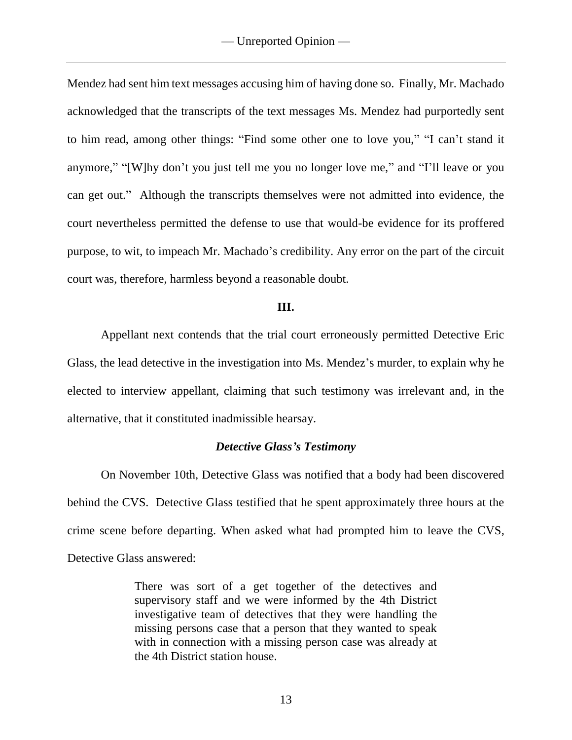Mendez had sent him text messages accusing him of having done so. Finally, Mr. Machado acknowledged that the transcripts of the text messages Ms. Mendez had purportedly sent to him read, among other things: "Find some other one to love you," "I can't stand it anymore," "[W]hy don't you just tell me you no longer love me," and "I'll leave or you can get out." Although the transcripts themselves were not admitted into evidence, the court nevertheless permitted the defense to use that would-be evidence for its proffered purpose, to wit, to impeach Mr. Machado's credibility. Any error on the part of the circuit court was, therefore, harmless beyond a reasonable doubt.

### **III.**

Appellant next contends that the trial court erroneously permitted Detective Eric Glass, the lead detective in the investigation into Ms. Mendez's murder, to explain why he elected to interview appellant, claiming that such testimony was irrelevant and, in the alternative, that it constituted inadmissible hearsay.

## *Detective Glass's Testimony*

On November 10th, Detective Glass was notified that a body had been discovered behind the CVS. Detective Glass testified that he spent approximately three hours at the crime scene before departing. When asked what had prompted him to leave the CVS, Detective Glass answered:

> There was sort of a get together of the detectives and supervisory staff and we were informed by the 4th District investigative team of detectives that they were handling the missing persons case that a person that they wanted to speak with in connection with a missing person case was already at the 4th District station house.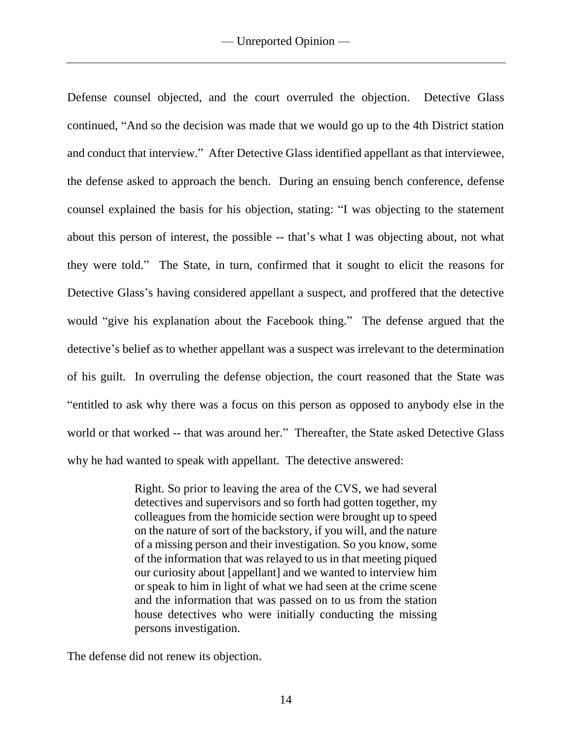Defense counsel objected, and the court overruled the objection. Detective Glass continued, "And so the decision was made that we would go up to the 4th District station and conduct that interview." After Detective Glass identified appellant as that interviewee, the defense asked to approach the bench. During an ensuing bench conference, defense counsel explained the basis for his objection, stating: "I was objecting to the statement about this person of interest, the possible -- that's what I was objecting about, not what they were told." The State, in turn, confirmed that it sought to elicit the reasons for Detective Glass's having considered appellant a suspect, and proffered that the detective would "give his explanation about the Facebook thing." The defense argued that the detective's belief as to whether appellant was a suspect was irrelevant to the determination of his guilt. In overruling the defense objection, the court reasoned that the State was "entitled to ask why there was a focus on this person as opposed to anybody else in the world or that worked -- that was around her." Thereafter, the State asked Detective Glass why he had wanted to speak with appellant. The detective answered:

> Right. So prior to leaving the area of the CVS, we had several detectives and supervisors and so forth had gotten together, my colleagues from the homicide section were brought up to speed on the nature of sort of the backstory, if you will, and the nature of a missing person and their investigation. So you know, some of the information that was relayed to us in that meeting piqued our curiosity about [appellant] and we wanted to interview him or speak to him in light of what we had seen at the crime scene and the information that was passed on to us from the station house detectives who were initially conducting the missing persons investigation.

The defense did not renew its objection.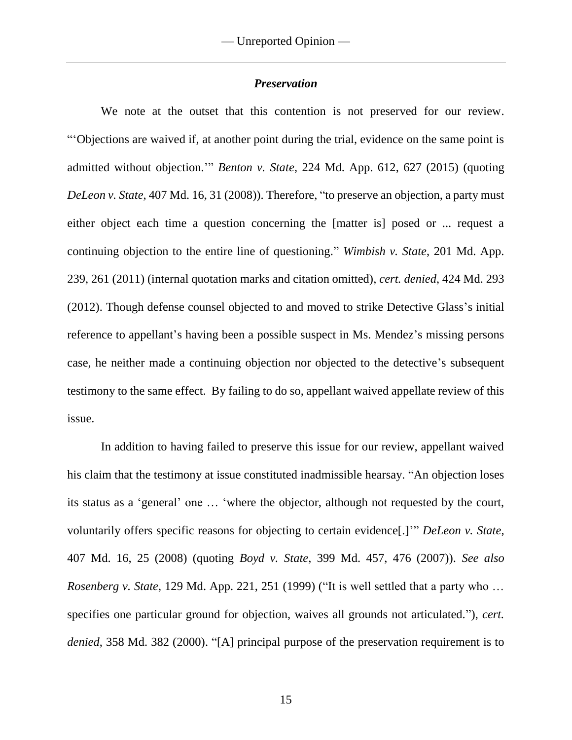## *Preservation*

We note at the outset that this contention is not preserved for our review. "'Objections are waived if, at another point during the trial, evidence on the same point is admitted without objection.'" *Benton v. State*, 224 Md. App. 612, 627 (2015) (quoting *DeLeon v. State*, 407 Md. 16, 31 (2008)). Therefore, "to preserve an objection, a party must either object each time a question concerning the [matter is] posed or ... request a continuing objection to the entire line of questioning." *Wimbish v. State*, 201 Md. App. 239, 261 (2011) (internal quotation marks and citation omitted), *cert. denied*, 424 Md. 293 (2012). Though defense counsel objected to and moved to strike Detective Glass's initial reference to appellant's having been a possible suspect in Ms. Mendez's missing persons case, he neither made a continuing objection nor objected to the detective's subsequent testimony to the same effect. By failing to do so, appellant waived appellate review of this issue.

In addition to having failed to preserve this issue for our review, appellant waived his claim that the testimony at issue constituted inadmissible hearsay. "An objection loses its status as a 'general' one … 'where the objector, although not requested by the court, voluntarily offers specific reasons for objecting to certain evidence[.]'" *DeLeon v. State*, 407 Md. 16, 25 (2008) (quoting *Boyd v. State*, 399 Md. 457, 476 (2007)). *See also Rosenberg v. State*, 129 Md. App. 221, 251 (1999) ("It is well settled that a party who … specifies one particular ground for objection, waives all grounds not articulated."), *cert. denied*, 358 Md. 382 (2000). "[A] principal purpose of the preservation requirement is to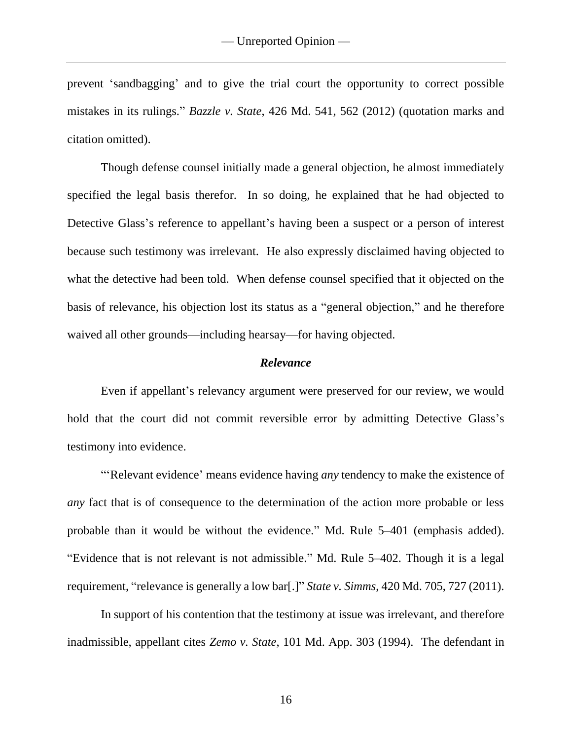prevent 'sandbagging' and to give the trial court the opportunity to correct possible mistakes in its rulings." *Bazzle v. State*, 426 Md. 541, 562 (2012) (quotation marks and citation omitted).

Though defense counsel initially made a general objection, he almost immediately specified the legal basis therefor. In so doing, he explained that he had objected to Detective Glass's reference to appellant's having been a suspect or a person of interest because such testimony was irrelevant. He also expressly disclaimed having objected to what the detective had been told. When defense counsel specified that it objected on the basis of relevance, his objection lost its status as a "general objection," and he therefore waived all other grounds—including hearsay—for having objected.

#### *Relevance*

Even if appellant's relevancy argument were preserved for our review, we would hold that the court did not commit reversible error by admitting Detective Glass's testimony into evidence.

"'Relevant evidence' means evidence having *any* tendency to make the existence of *any* fact that is of consequence to the determination of the action more probable or less probable than it would be without the evidence." Md. Rule 5–401 (emphasis added). "Evidence that is not relevant is not admissible." Md. Rule 5–402. Though it is a legal requirement, "relevance is generally a low bar[.]" *State v. Simms*, 420 Md. 705, 727 (2011).

In support of his contention that the testimony at issue was irrelevant, and therefore inadmissible, appellant cites *Zemo v. State*, 101 Md. App. 303 (1994). The defendant in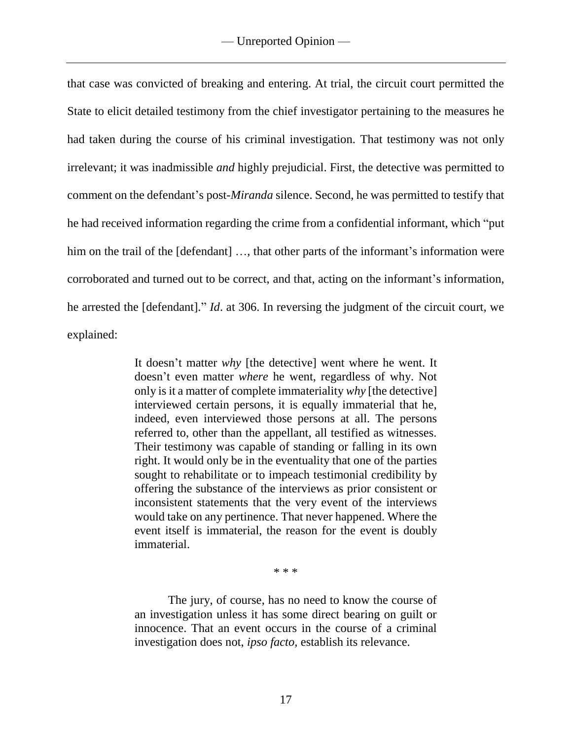that case was convicted of breaking and entering. At trial, the circuit court permitted the State to elicit detailed testimony from the chief investigator pertaining to the measures he had taken during the course of his criminal investigation. That testimony was not only irrelevant; it was inadmissible *and* highly prejudicial. First, the detective was permitted to comment on the defendant's post-*Miranda* silence. Second, he was permitted to testify that he had received information regarding the crime from a confidential informant, which "put him on the trail of the [defendant] ..., that other parts of the informant's information were corroborated and turned out to be correct, and that, acting on the informant's information, he arrested the [defendant]." *Id*. at 306. In reversing the judgment of the circuit court, we explained:

> It doesn't matter *why* [the detective] went where he went. It doesn't even matter *where* he went, regardless of why. Not only is it a matter of complete immateriality *why* [the detective] interviewed certain persons, it is equally immaterial that he, indeed, even interviewed those persons at all. The persons referred to, other than the appellant, all testified as witnesses. Their testimony was capable of standing or falling in its own right. It would only be in the eventuality that one of the parties sought to rehabilitate or to impeach testimonial credibility by offering the substance of the interviews as prior consistent or inconsistent statements that the very event of the interviews would take on any pertinence. That never happened. Where the event itself is immaterial, the reason for the event is doubly immaterial.

> > \* \* \*

The jury, of course, has no need to know the course of an investigation unless it has some direct bearing on guilt or innocence. That an event occurs in the course of a criminal investigation does not, *ipso facto,* establish its relevance.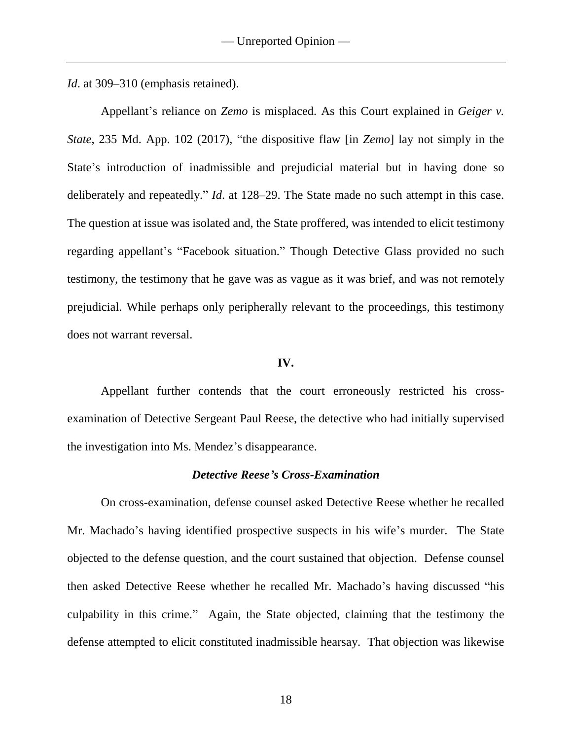*Id.* at 309–310 (emphasis retained).

Appellant's reliance on *Zemo* is misplaced. As this Court explained in *Geiger v. State*, 235 Md. App. 102 (2017), "the dispositive flaw [in *Zemo*] lay not simply in the State's introduction of inadmissible and prejudicial material but in having done so deliberately and repeatedly." *Id*. at 128–29. The State made no such attempt in this case. The question at issue was isolated and, the State proffered, was intended to elicit testimony regarding appellant's "Facebook situation." Though Detective Glass provided no such testimony, the testimony that he gave was as vague as it was brief, and was not remotely prejudicial. While perhaps only peripherally relevant to the proceedings, this testimony does not warrant reversal.

### **IV.**

Appellant further contends that the court erroneously restricted his crossexamination of Detective Sergeant Paul Reese, the detective who had initially supervised the investigation into Ms. Mendez's disappearance.

### *Detective Reese's Cross-Examination*

On cross-examination, defense counsel asked Detective Reese whether he recalled Mr. Machado's having identified prospective suspects in his wife's murder. The State objected to the defense question, and the court sustained that objection. Defense counsel then asked Detective Reese whether he recalled Mr. Machado's having discussed "his culpability in this crime." Again, the State objected, claiming that the testimony the defense attempted to elicit constituted inadmissible hearsay. That objection was likewise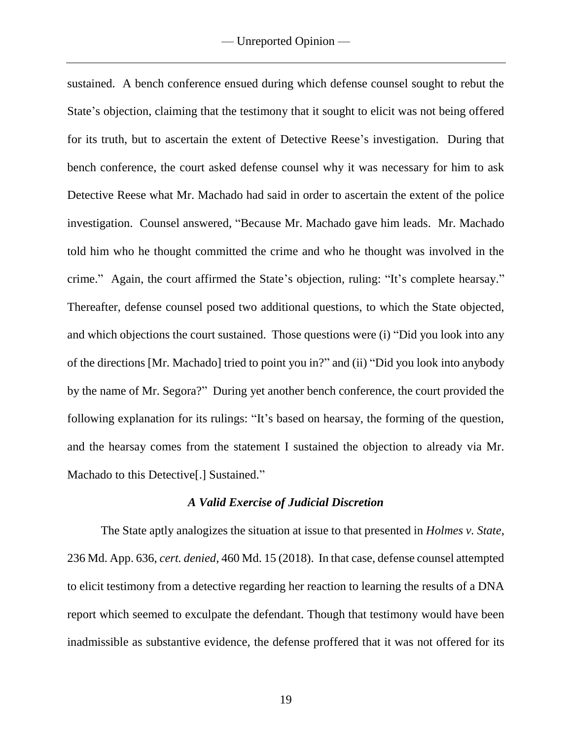sustained. A bench conference ensued during which defense counsel sought to rebut the State's objection, claiming that the testimony that it sought to elicit was not being offered for its truth, but to ascertain the extent of Detective Reese's investigation. During that bench conference, the court asked defense counsel why it was necessary for him to ask Detective Reese what Mr. Machado had said in order to ascertain the extent of the police investigation. Counsel answered, "Because Mr. Machado gave him leads. Mr. Machado told him who he thought committed the crime and who he thought was involved in the crime." Again, the court affirmed the State's objection, ruling: "It's complete hearsay." Thereafter, defense counsel posed two additional questions, to which the State objected, and which objections the court sustained. Those questions were (i) "Did you look into any of the directions [Mr. Machado] tried to point you in?" and (ii) "Did you look into anybody by the name of Mr. Segora?" During yet another bench conference, the court provided the following explanation for its rulings: "It's based on hearsay, the forming of the question, and the hearsay comes from the statement I sustained the objection to already via Mr. Machado to this Detective[.] Sustained."

#### *A Valid Exercise of Judicial Discretion*

The State aptly analogizes the situation at issue to that presented in *Holmes v. State*, 236 Md. App. 636, *cert. denied*, 460 Md. 15 (2018). In that case, defense counsel attempted to elicit testimony from a detective regarding her reaction to learning the results of a DNA report which seemed to exculpate the defendant. Though that testimony would have been inadmissible as substantive evidence, the defense proffered that it was not offered for its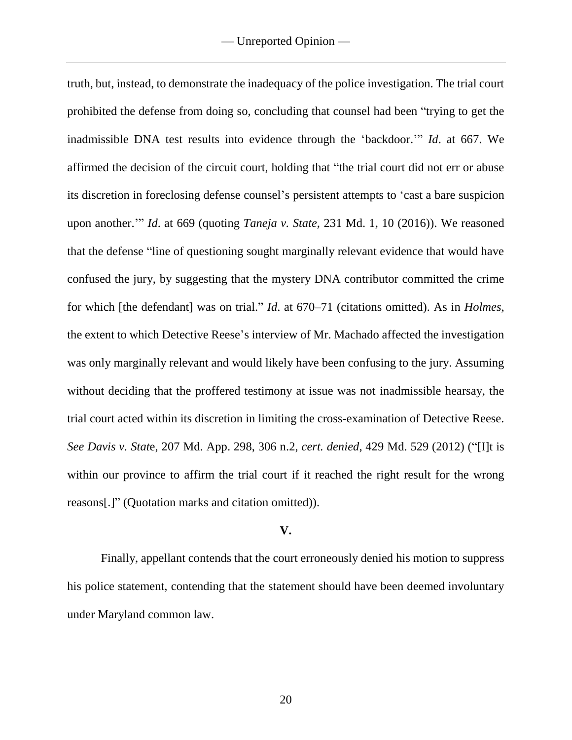truth, but, instead, to demonstrate the inadequacy of the police investigation. The trial court prohibited the defense from doing so, concluding that counsel had been "trying to get the inadmissible DNA test results into evidence through the 'backdoor.'" *Id*. at 667. We affirmed the decision of the circuit court, holding that "the trial court did not err or abuse its discretion in foreclosing defense counsel's persistent attempts to 'cast a bare suspicion upon another.'" *Id*. at 669 (quoting *Taneja v. State,* 231 Md. 1, 10 (2016)). We reasoned that the defense "line of questioning sought marginally relevant evidence that would have confused the jury, by suggesting that the mystery DNA contributor committed the crime for which [the defendant] was on trial." *Id*. at 670–71 (citations omitted). As in *Holmes*, the extent to which Detective Reese's interview of Mr. Machado affected the investigation was only marginally relevant and would likely have been confusing to the jury. Assuming without deciding that the proffered testimony at issue was not inadmissible hearsay, the trial court acted within its discretion in limiting the cross-examination of Detective Reese. *See Davis v. Stat*e, 207 Md. App. 298, 306 n.2, *cert. denied*, 429 Md. 529 (2012) ("[I]t is within our province to affirm the trial court if it reached the right result for the wrong reasons[.]" (Quotation marks and citation omitted)).

## **V.**

Finally, appellant contends that the court erroneously denied his motion to suppress his police statement, contending that the statement should have been deemed involuntary under Maryland common law.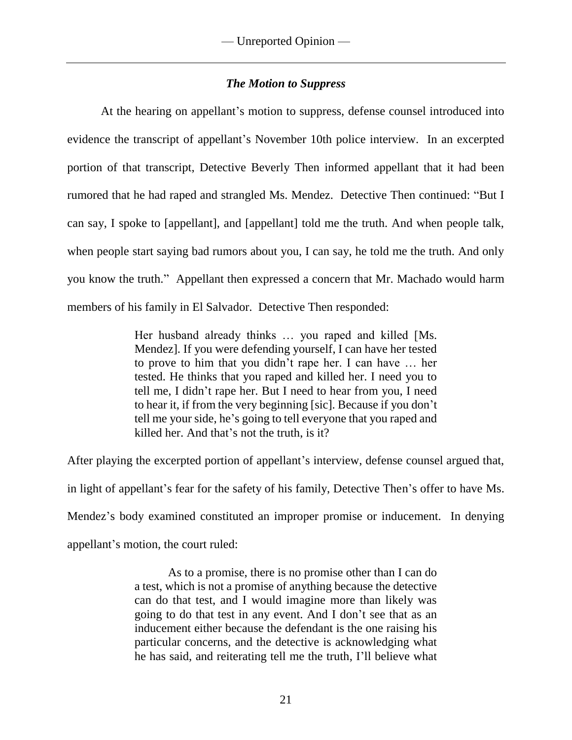## *The Motion to Suppress*

At the hearing on appellant's motion to suppress, defense counsel introduced into evidence the transcript of appellant's November 10th police interview. In an excerpted portion of that transcript, Detective Beverly Then informed appellant that it had been rumored that he had raped and strangled Ms. Mendez. Detective Then continued: "But I can say, I spoke to [appellant], and [appellant] told me the truth. And when people talk, when people start saying bad rumors about you, I can say, he told me the truth. And only you know the truth." Appellant then expressed a concern that Mr. Machado would harm members of his family in El Salvador. Detective Then responded:

> Her husband already thinks … you raped and killed [Ms. Mendez]. If you were defending yourself, I can have her tested to prove to him that you didn't rape her. I can have … her tested. He thinks that you raped and killed her. I need you to tell me, I didn't rape her. But I need to hear from you, I need to hear it, if from the very beginning [sic]. Because if you don't tell me your side, he's going to tell everyone that you raped and killed her. And that's not the truth, is it?

After playing the excerpted portion of appellant's interview, defense counsel argued that, in light of appellant's fear for the safety of his family, Detective Then's offer to have Ms. Mendez's body examined constituted an improper promise or inducement. In denying appellant's motion, the court ruled:

> As to a promise, there is no promise other than I can do a test, which is not a promise of anything because the detective can do that test, and I would imagine more than likely was going to do that test in any event. And I don't see that as an inducement either because the defendant is the one raising his particular concerns, and the detective is acknowledging what he has said, and reiterating tell me the truth, I'll believe what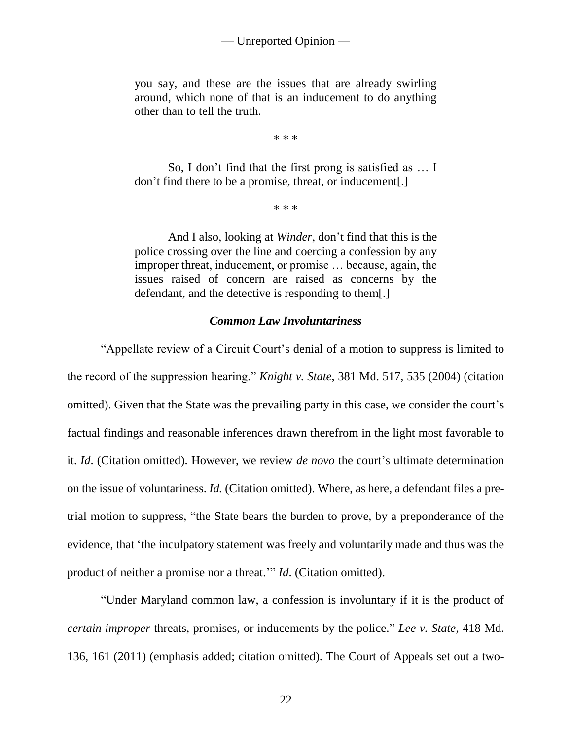you say, and these are the issues that are already swirling around, which none of that is an inducement to do anything other than to tell the truth.

\* \* \*

So, I don't find that the first prong is satisfied as … I don't find there to be a promise, threat, or inducement[.]

\* \* \*

And I also, looking at *Winder*, don't find that this is the police crossing over the line and coercing a confession by any improper threat, inducement, or promise … because, again, the issues raised of concern are raised as concerns by the defendant, and the detective is responding to them[.]

## *Common Law Involuntariness*

"Appellate review of a Circuit Court's denial of a motion to suppress is limited to the record of the suppression hearing." *Knight v. State*, 381 Md. 517, 535 (2004) (citation omitted). Given that the State was the prevailing party in this case, we consider the court's factual findings and reasonable inferences drawn therefrom in the light most favorable to it. *Id*. (Citation omitted). However, we review *de novo* the court's ultimate determination on the issue of voluntariness. *Id.* (Citation omitted). Where, as here, a defendant files a pretrial motion to suppress, "the State bears the burden to prove, by a preponderance of the evidence, that 'the inculpatory statement was freely and voluntarily made and thus was the product of neither a promise nor a threat.'" *Id*. (Citation omitted).

"Under Maryland common law, a confession is involuntary if it is the product of *certain improper* threats, promises, or inducements by the police." *Lee v. State*, 418 Md. 136, 161 (2011) (emphasis added; citation omitted). The Court of Appeals set out a two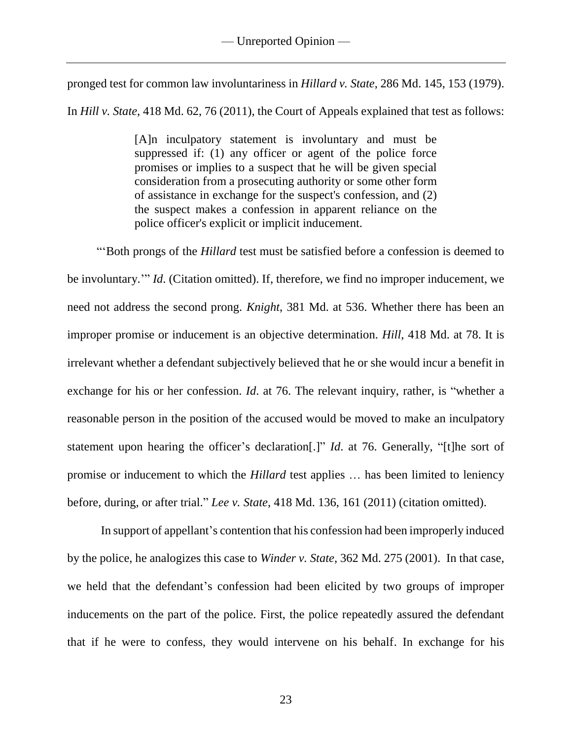pronged test for common law involuntariness in *Hillard v. State*, 286 Md. 145, 153 (1979).

In *Hill v. State*, 418 Md. 62, 76 (2011), the Court of Appeals explained that test as follows:

[A]n inculpatory statement is involuntary and must be suppressed if: (1) any officer or agent of the police force promises or implies to a suspect that he will be given special consideration from a prosecuting authority or some other form of assistance in exchange for the suspect's confession, and (2) the suspect makes a confession in apparent reliance on the police officer's explicit or implicit inducement.

"'Both prongs of the *Hillard* test must be satisfied before a confession is deemed to be involuntary.'" *Id*. (Citation omitted). If, therefore, we find no improper inducement, we need not address the second prong. *Knight*, 381 Md. at 536. Whether there has been an improper promise or inducement is an objective determination. *Hill*, 418 Md. at 78. It is irrelevant whether a defendant subjectively believed that he or she would incur a benefit in exchange for his or her confession. *Id*. at 76. The relevant inquiry, rather, is "whether a reasonable person in the position of the accused would be moved to make an inculpatory statement upon hearing the officer's declaration[.]" *Id*. at 76. Generally, "[t]he sort of promise or inducement to which the *Hillard* test applies … has been limited to leniency before, during, or after trial." *Lee v. State*, 418 Md. 136, 161 (2011) (citation omitted).

In support of appellant's contention that his confession had been improperly induced by the police, he analogizes this case to *Winder v. State*, 362 Md. 275 (2001). In that case, we held that the defendant's confession had been elicited by two groups of improper inducements on the part of the police. First, the police repeatedly assured the defendant that if he were to confess, they would intervene on his behalf. In exchange for his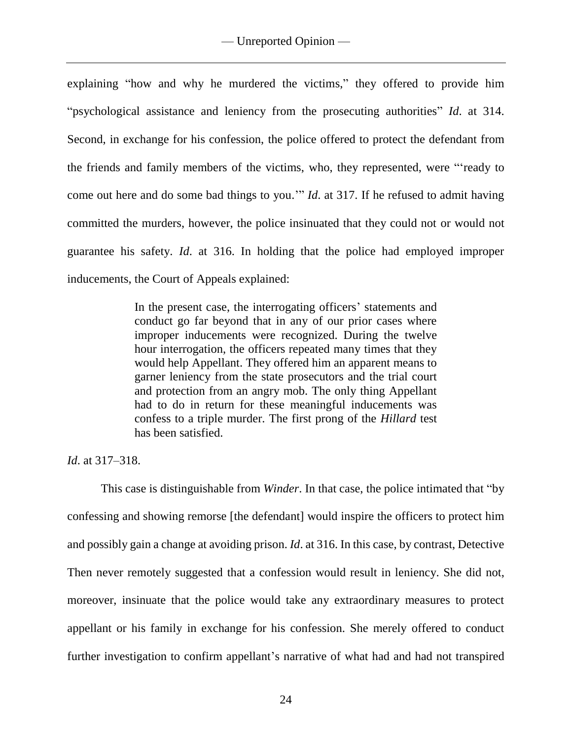explaining "how and why he murdered the victims," they offered to provide him "psychological assistance and leniency from the prosecuting authorities" *Id*. at 314. Second, in exchange for his confession, the police offered to protect the defendant from the friends and family members of the victims, who, they represented, were "'ready to come out here and do some bad things to you.'" *Id*. at 317. If he refused to admit having committed the murders, however, the police insinuated that they could not or would not guarantee his safety. *Id*. at 316. In holding that the police had employed improper inducements, the Court of Appeals explained:

> In the present case, the interrogating officers' statements and conduct go far beyond that in any of our prior cases where improper inducements were recognized. During the twelve hour interrogation, the officers repeated many times that they would help Appellant. They offered him an apparent means to garner leniency from the state prosecutors and the trial court and protection from an angry mob. The only thing Appellant had to do in return for these meaningful inducements was confess to a triple murder. The first prong of the *Hillard* test has been satisfied.

*Id*. at 317–318.

This case is distinguishable from *Winder*. In that case, the police intimated that "by confessing and showing remorse [the defendant] would inspire the officers to protect him and possibly gain a change at avoiding prison. *Id*. at 316. In this case, by contrast, Detective Then never remotely suggested that a confession would result in leniency. She did not, moreover, insinuate that the police would take any extraordinary measures to protect appellant or his family in exchange for his confession. She merely offered to conduct further investigation to confirm appellant's narrative of what had and had not transpired